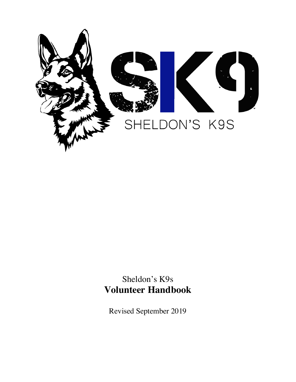

Sheldon's K9s **Volunteer Handbook**

Revised September 2019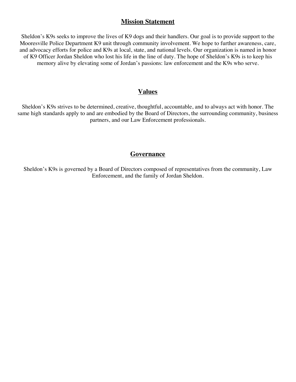## **Mission Statement**

Sheldon's K9s seeks to improve the lives of K9 dogs and their handlers. Our goal is to provide support to the Mooresville Police Department K9 unit through community involvement. We hope to further awareness, care, and advocacy efforts for police and K9s at local, state, and national levels. Our organization is named in honor of K9 Officer Jordan Sheldon who lost his life in the line of duty. The hope of Sheldon's K9s is to keep his memory alive by elevating some of Jordan's passions: law enforcement and the K9s who serve.

#### **Values**

Sheldon's K9s strives to be determined, creative, thoughtful, accountable, and to always act with honor. The same high standards apply to and are embodied by the Board of Directors, the surrounding community, business partners, and our Law Enforcement professionals.

#### **Governance**

Sheldon's K9s is governed by a Board of Directors composed of representatives from the community, Law Enforcement, and the family of Jordan Sheldon.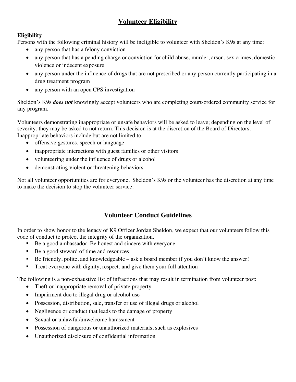# **Volunteer Eligibility**

## **Eligibility**

Persons with the following criminal history will be ineligible to volunteer with Sheldon's K9s at any time:

- any person that has a felony conviction
- any person that has a pending charge or conviction for child abuse, murder, arson, sex crimes, domestic violence or indecent exposure
- any person under the influence of drugs that are not prescribed or any person currently participating in a drug treatment program
- any person with an open CPS investigation

Sheldon's K9s *does not* knowingly accept volunteers who are completing court-ordered community service for any program.

Volunteers demonstrating inappropriate or unsafe behaviors will be asked to leave; depending on the level of severity, they may be asked to not return. This decision is at the discretion of the Board of Directors. Inappropriate behaviors include but are not limited to:

- offensive gestures, speech or language
- inappropriate interactions with guest families or other visitors
- volunteering under the influence of drugs or alcohol
- demonstrating violent or threatening behaviors

Not all volunteer opportunities are for everyone. Sheldon's K9s or the volunteer has the discretion at any time to make the decision to stop the volunteer service.

# **Volunteer Conduct Guidelines**

In order to show honor to the legacy of K9 Officer Jordan Sheldon, we expect that our volunteers follow this code of conduct to protect the integrity of the organization.

- Be a good ambassador. Be honest and sincere with everyone
- Be a good steward of time and resources
- Be friendly, polite, and knowledgeable ask a board member if you don't know the answer!
- Treat everyone with dignity, respect, and give them your full attention

The following is a non-exhaustive list of infractions that may result in termination from volunteer post:

- Theft or inappropriate removal of private property
- Impairment due to illegal drug or alcohol use
- Possession, distribution, sale, transfer or use of illegal drugs or alcohol
- Negligence or conduct that leads to the damage of property
- Sexual or unlawful/unwelcome harassment
- Possession of dangerous or unauthorized materials, such as explosives
- Unauthorized disclosure of confidential information